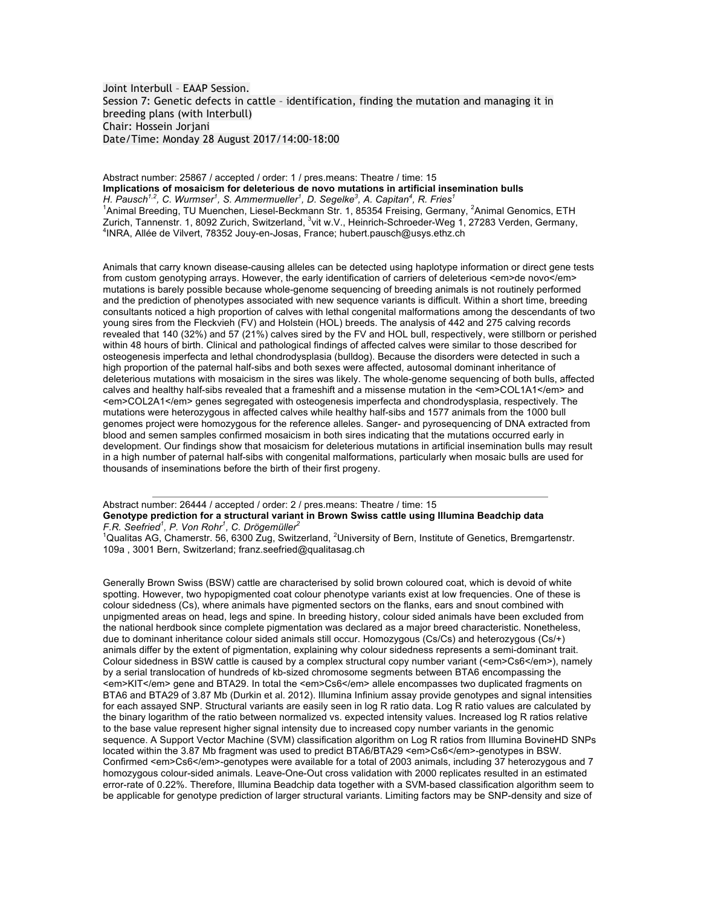Joint Interbull – EAAP Session. Session 7: Genetic defects in cattle – identification, finding the mutation and managing it in breeding plans (with Interbull) Chair: Hossein Jorjani Date/Time: Monday 28 August 2017/14:00-18:00

Abstract number: 25867 / accepted / order: 1 / pres.means: Theatre / time: 15 **Implications of mosaicism for deleterious de novo mutations in artificial insemination bulls** *H. Pausch1,2, C. Wurmser1 , S. Ammermueller<sup>1</sup> , D. Segelke<sup>3</sup> , A. Capitan<sup>4</sup> , R. Fries<sup>1</sup>* <sup>1</sup>Animal Breeding, TU Muenchen, Liesel-Beckmann Str. 1, 85354 Freising, Germany, <sup>2</sup>Animal Genomics, ETH Zurich, Tannenstr. 1, 8092 Zurich, Switzerland, <sup>3</sup>vit w.V., Heinrich-Schroeder-Weg 1, 27283 Verden, Germany, 4116 de Vikert 78353, Jeux en Jesse, France bluet ausgeh<del>e</del>unig athet et al. <sup>4</sup>INRA, Allée de Vilvert, 78352 Jouy-en-Josas, France; hubert.pausch@usys.ethz.ch

Animals that carry known disease-causing alleles can be detected using haplotype information or direct gene tests from custom genotyping arrays. However, the early identification of carriers of deleterious <em>de novo</em> mutations is barely possible because whole-genome sequencing of breeding animals is not routinely performed and the prediction of phenotypes associated with new sequence variants is difficult. Within a short time, breeding consultants noticed a high proportion of calves with lethal congenital malformations among the descendants of two young sires from the Fleckvieh (FV) and Holstein (HOL) breeds. The analysis of 442 and 275 calving records revealed that 140 (32%) and 57 (21%) calves sired by the FV and HOL bull, respectively, were stillborn or perished within 48 hours of birth. Clinical and pathological findings of affected calves were similar to those described for osteogenesis imperfecta and lethal chondrodysplasia (bulldog). Because the disorders were detected in such a high proportion of the paternal half-sibs and both sexes were affected, autosomal dominant inheritance of deleterious mutations with mosaicism in the sires was likely. The whole-genome sequencing of both bulls, affected calves and healthy half-sibs revealed that a frameshift and a missense mutation in the <em>COL1A1</em> and <em>COL2A1</em> genes segregated with osteogenesis imperfecta and chondrodysplasia, respectively. The mutations were heterozygous in affected calves while healthy half-sibs and 1577 animals from the 1000 bull genomes project were homozygous for the reference alleles. Sanger- and pyrosequencing of DNA extracted from blood and semen samples confirmed mosaicism in both sires indicating that the mutations occurred early in development. Our findings show that mosaicism for deleterious mutations in artificial insemination bulls may result in a high number of paternal half-sibs with congenital malformations, particularly when mosaic bulls are used for thousands of inseminations before the birth of their first progeny.

## Abstract number: 26444 / accepted / order: 2 / pres.means: Theatre / time: 15 **Genotype prediction for a structural variant in Brown Swiss cattle using Illumina Beadchip data** *F.R. Seefried<sup>1</sup> , P. Von Rohr<sup>1</sup> , C. Drögemüller<sup>2</sup>*

<sup>1</sup>Qualitas AG, Chamerstr. 56, 6300 Zug, Switzerland, <sup>2</sup>University of Bern, Institute of Genetics, Bremgartenstr. 109a , 3001 Bern, Switzerland; franz.seefried@qualitasag.ch

Generally Brown Swiss (BSW) cattle are characterised by solid brown coloured coat, which is devoid of white spotting. However, two hypopigmented coat colour phenotype variants exist at low frequencies. One of these is colour sidedness (Cs), where animals have pigmented sectors on the flanks, ears and snout combined with unpigmented areas on head, legs and spine. In breeding history, colour sided animals have been excluded from the national herdbook since complete pigmentation was declared as a major breed characteristic. Nonetheless, due to dominant inheritance colour sided animals still occur. Homozygous (Cs/Cs) and heterozygous (Cs/+) animals differ by the extent of pigmentation, explaining why colour sidedness represents a semi-dominant trait. Colour sidedness in BSW cattle is caused by a complex structural copy number variant (<em>Cs6</em>), namely by a serial translocation of hundreds of kb-sized chromosome segments between BTA6 encompassing the <em>KIT</em> gene and BTA29. In total the <em>Cs6</em> allele encompasses two duplicated fragments on BTA6 and BTA29 of 3.87 Mb (Durkin et al. 2012). Illumina Infinium assay provide genotypes and signal intensities for each assayed SNP. Structural variants are easily seen in log R ratio data. Log R ratio values are calculated by the binary logarithm of the ratio between normalized vs. expected intensity values. Increased log R ratios relative to the base value represent higher signal intensity due to increased copy number variants in the genomic sequence. A Support Vector Machine (SVM) classification algorithm on Log R ratios from Illumina BovineHD SNPs located within the 3.87 Mb fragment was used to predict BTA6/BTA29 <em>Cs6</em>-genotypes in BSW. Confirmed <em>Cs6</em>-genotypes were available for a total of 2003 animals, including 37 heterozygous and 7 homozygous colour-sided animals. Leave-One-Out cross validation with 2000 replicates resulted in an estimated error-rate of 0.22%. Therefore, Illumina Beadchip data together with a SVM-based classification algorithm seem to be applicable for genotype prediction of larger structural variants. Limiting factors may be SNP-density and size of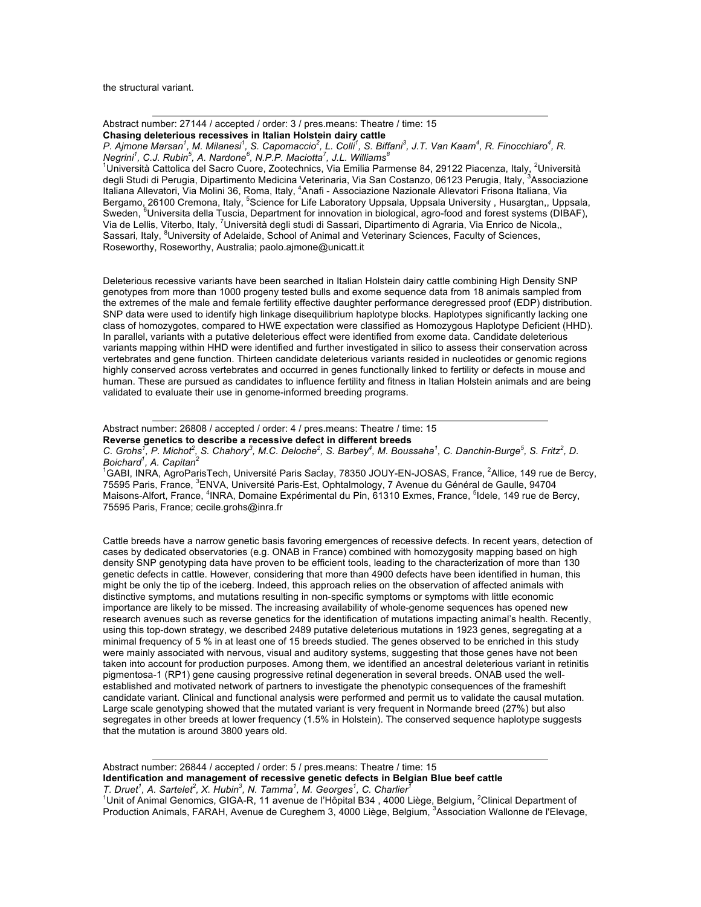the structural variant.

Abstract number: 27144 / accepted / order: 3 / pres.means: Theatre / time: 15 **Chasing deleterious recessives in Italian Holstein dairy cattle** *P. Ajmone Marsan<sup>1</sup> , M. Milanesi<sup>1</sup> , S. Capomaccio<sup>2</sup> , L. Colli<sup>1</sup> , S. Biffani<sup>3</sup> , J.T. Van Kaam<sup>4</sup> , R. Finocchiaro<sup>4</sup> , R.* 

*Negrini<sup>1</sup>, C.J. Rubin<sup>5</sup>, A. Nardone<sup>6</sup>, N.P.P. Maciotta<sup>7</sup>, J.L. Williams<sup>8</sup><br><sup>1</sup>Università Cattolica del Sacro Cuore, Zootechnics, Via Emilia Parmense 84, 29122 Piacenza, Italy, <sup>2</sup>Università* 

degli Studi di Perugia, Dipartimento Medicina Veterinaria, Via San Costanzo, 06123 Perugia, Italy, <sup>3</sup>Associazione Italiana Allevatori, Via Molini 36, Roma, Italy, <sup>4</sup>Anafi - Associazione Nazionale Allevatori Frisona Italiana, Via Bergamo, 26100 Cremona, Italy, <sup>5</sup>Science for Life Laboratory Uppsala, Uppsala University , Husargtan,, Uppsala, Sweden, <sup>6</sup>Universita della Tuscia, Department for innovation in biological, agro-food and forest systems (DIBAF), Via de Lellis, Viterbo, Italy, <sup>7</sup>Università degli studi di Sassari, Dipartimento di Agraria, Via Enrico de Nicola,, Sassari, Italy, <sup>8</sup>University of Adelaide, School of Animal and Veterinary Sciences, Faculty of Sciences, Roseworthy, Roseworthy, Australia; paolo.ajmone@unicatt.it

Deleterious recessive variants have been searched in Italian Holstein dairy cattle combining High Density SNP genotypes from more than 1000 progeny tested bulls and exome sequence data from 18 animals sampled from the extremes of the male and female fertility effective daughter performance deregressed proof (EDP) distribution. SNP data were used to identify high linkage disequilibrium haplotype blocks. Haplotypes significantly lacking one class of homozygotes, compared to HWE expectation were classified as Homozygous Haplotype Deficient (HHD). In parallel, variants with a putative deleterious effect were identified from exome data. Candidate deleterious variants mapping within HHD were identified and further investigated in silico to assess their conservation across vertebrates and gene function. Thirteen candidate deleterious variants resided in nucleotides or genomic regions highly conserved across vertebrates and occurred in genes functionally linked to fertility or defects in mouse and human. These are pursued as candidates to influence fertility and fitness in Italian Holstein animals and are being validated to evaluate their use in genome-informed breeding programs.

Abstract number: 26808 / accepted / order: 4 / pres.means: Theatre / time: 15 **Reverse genetics to describe a recessive defect in different breeds**

C. Grohs<sup>1</sup>, P. Michot<sup>2</sup>, S. Chahory<sup>3</sup>, M.C. Deloche<sup>2</sup>, S. Barbey<sup>4</sup>, M. Boussaha<sup>1</sup>, C. Danchin-Burge<sup>5</sup>, S. Fritz<sup>2</sup>, D. *Boichard<sup>1</sup> , A. Capitan<sup>2</sup>*

<sup>1</sup>GABI, INRA, AgroParisTech, Université Paris Saclay, 78350 JOUY-EN-JOSAS, France, <sup>2</sup>Allice, 149 rue de Bercy, 75595 Paris, France, <sup>3</sup>ENVA, Université Paris-Est, Ophtalmology, 7 Avenue du Général de Gaulle, 94704 Maisons-Alfort, France, <sup>4</sup>INRA, Domaine Expérimental du Pin, 61310 Exmes, France, <sup>5</sup>Idele, 149 rue de Bercy, 75595 Paris, France; cecile.grohs@inra.fr

Cattle breeds have a narrow genetic basis favoring emergences of recessive defects. In recent years, detection of cases by dedicated observatories (e.g. ONAB in France) combined with homozygosity mapping based on high density SNP genotyping data have proven to be efficient tools, leading to the characterization of more than 130 genetic defects in cattle. However, considering that more than 4900 defects have been identified in human, this might be only the tip of the iceberg. Indeed, this approach relies on the observation of affected animals with distinctive symptoms, and mutations resulting in non-specific symptoms or symptoms with little economic importance are likely to be missed. The increasing availability of whole-genome sequences has opened new research avenues such as reverse genetics for the identification of mutations impacting animal's health. Recently, using this top-down strategy, we described 2489 putative deleterious mutations in 1923 genes, segregating at a minimal frequency of 5 % in at least one of 15 breeds studied. The genes observed to be enriched in this study were mainly associated with nervous, visual and auditory systems, suggesting that those genes have not been taken into account for production purposes. Among them, we identified an ancestral deleterious variant in retinitis pigmentosa-1 (RP1) gene causing progressive retinal degeneration in several breeds. ONAB used the wellestablished and motivated network of partners to investigate the phenotypic consequences of the frameshift candidate variant. Clinical and functional analysis were performed and permit us to validate the causal mutation. Large scale genotyping showed that the mutated variant is very frequent in Normande breed (27%) but also segregates in other breeds at lower frequency (1.5% in Holstein). The conserved sequence haplotype suggests that the mutation is around 3800 years old.

Abstract number: 26844 / accepted / order: 5 / pres.means: Theatre / time: 15 **Identification and management of recessive genetic defects in Belgian Blue beef cattle** *T. Druet<sup>1</sup> , A. Sartelet<sup>2</sup> , X. Hubin<sup>3</sup> , N. Tamma<sup>1</sup> , M. Georges<sup>1</sup> , C. Charlier<sup>1</sup>*

<sup>1</sup>Unit of Animal Genomics, GIGA-R, 11 avenue de l'Hôpital B34, 4000 Liège, Belgium, <sup>2</sup>Clinical Department of Production Animals, FARAH, Avenue de Cureghem 3, 4000 Liège, Belgium, <sup>3</sup>Association Wallonne de l'Elevage,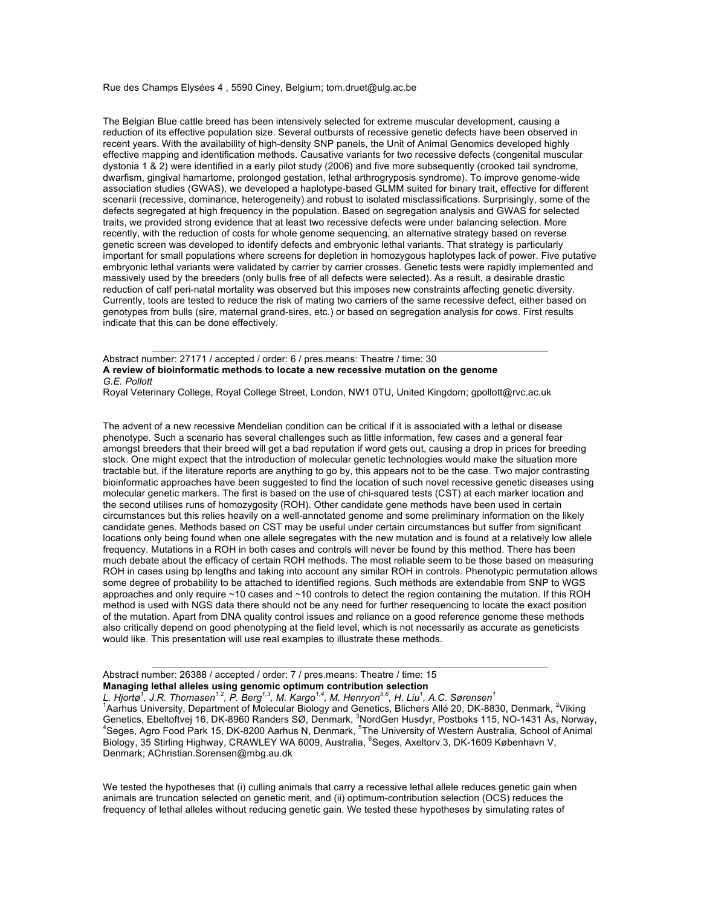Rue des Champs Elysées 4 , 5590 Ciney, Belgium; tom.druet@ulg.ac.be

The Belgian Blue cattle breed has been intensively selected for extreme muscular development, causing a reduction of its effective population size. Several outbursts of recessive genetic defects have been observed in recent years. With the availability of high-density SNP panels, the Unit of Animal Genomics developed highly effective mapping and identification methods. Causative variants for two recessive defects (congenital muscular dystonia 1 & 2) were identified in a early pilot study (2006) and five more subsequently (crooked tail syndrome, dwarfism, gingival hamartome, prolonged gestation, lethal arthrogryposis syndrome). To improve genome-wide association studies (GWAS), we developed a haplotype-based GLMM suited for binary trait, effective for different scenarii (recessive, dominance, heterogeneity) and robust to isolated misclassifications. Surprisingly, some of the defects segregated at high frequency in the population. Based on segregation analysis and GWAS for selected traits, we provided strong evidence that at least two recessive defects were under balancing selection. More recently, with the reduction of costs for whole genome sequencing, an alternative strategy based on reverse genetic screen was developed to identify defects and embryonic lethal variants. That strategy is particularly important for small populations where screens for depletion in homozygous haplotypes lack of power. Five putative embryonic lethal variants were validated by carrier by carrier crosses. Genetic tests were rapidly implemented and massively used by the breeders (only bulls free of all defects were selected). As a result, a desirable drastic reduction of calf peri-natal mortality was observed but this imposes new constraints affecting genetic diversity. Currently, tools are tested to reduce the risk of mating two carriers of the same recessive defect, either based on genotypes from bulls (sire, maternal grand-sires, etc.) or based on segregation analysis for cows. First results indicate that this can be done effectively.

Abstract number: 27171 / accepted / order: 6 / pres.means: Theatre / time: 30 **A review of bioinformatic methods to locate a new recessive mutation on the genome** *G.E. Pollott*

Royal Veterinary College, Royal College Street, London, NW1 0TU, United Kingdom; gpollott@rvc.ac.uk

The advent of a new recessive Mendelian condition can be critical if it is associated with a lethal or disease phenotype. Such a scenario has several challenges such as little information, few cases and a general fear amongst breeders that their breed will get a bad reputation if word gets out, causing a drop in prices for breeding stock. One might expect that the introduction of molecular genetic technologies would make the situation more tractable but, if the literature reports are anything to go by, this appears not to be the case. Two major contrasting bioinformatic approaches have been suggested to find the location of such novel recessive genetic diseases using molecular genetic markers. The first is based on the use of chi-squared tests (CST) at each marker location and the second utilises runs of homozygosity (ROH). Other candidate gene methods have been used in certain circumstances but this relies heavily on a well-annotated genome and some preliminary information on the likely candidate genes. Methods based on CST may be useful under certain circumstances but suffer from significant locations only being found when one allele segregates with the new mutation and is found at a relatively low allele frequency. Mutations in a ROH in both cases and controls will never be found by this method. There has been much debate about the efficacy of certain ROH methods. The most reliable seem to be those based on measuring ROH in cases using bp lengths and taking into account any similar ROH in controls. Phenotypic permutation allows some degree of probability to be attached to identified regions. Such methods are extendable from SNP to WGS approaches and only require ~10 cases and ~10 controls to detect the region containing the mutation. If this ROH method is used with NGS data there should not be any need for further resequencing to locate the exact position of the mutation. Apart from DNA quality control issues and reliance on a good reference genome these methods also critically depend on good phenotyping at the field level, which is not necessarily as accurate as geneticists would like. This presentation will use real examples to illustrate these methods.

Abstract number: 26388 / accepted / order: 7 / pres.means: Theatre / time: 15 **Managing lethal alleles using genomic optimum contribution selection**

*L. Hjortø<sup>1</sup> , J.R. Thomasen1,2, P. Berg1,3, M. Kargo1,4, M. Henryon5,6, H. Liu1 , A.C. Sørensen<sup>1</sup>* <sup>1</sup> Aarhus University, Department of Molecular Biology and Genetics, Blichers Allé 20, DK-8830, Denmark, <sup>2</sup> Viking Genetics, Ebeltoftvej 16, DK-8960 Randers SØ, Denmark, <sup>3</sup>NordGen Husdyr, Postboks 115, NO-1431 Ås, Norway,<br><sup>4</sup>Seges, Agro Food Park 15, DK-8200 Aarhus N, Denmark, <sup>5</sup>The University of Western Australia, School of Animal Biology, 35 Stirling Highway, CRAWLEY WA 6009, Australia, <sup>6</sup>Seges, Axeltorv 3, DK-1609 København V, Denmark; AChristian.Sorensen@mbg.au.dk

We tested the hypotheses that (i) culling animals that carry a recessive lethal allele reduces genetic gain when animals are truncation selected on genetic merit, and (ii) optimum-contribution selection (OCS) reduces the frequency of lethal alleles without reducing genetic gain. We tested these hypotheses by simulating rates of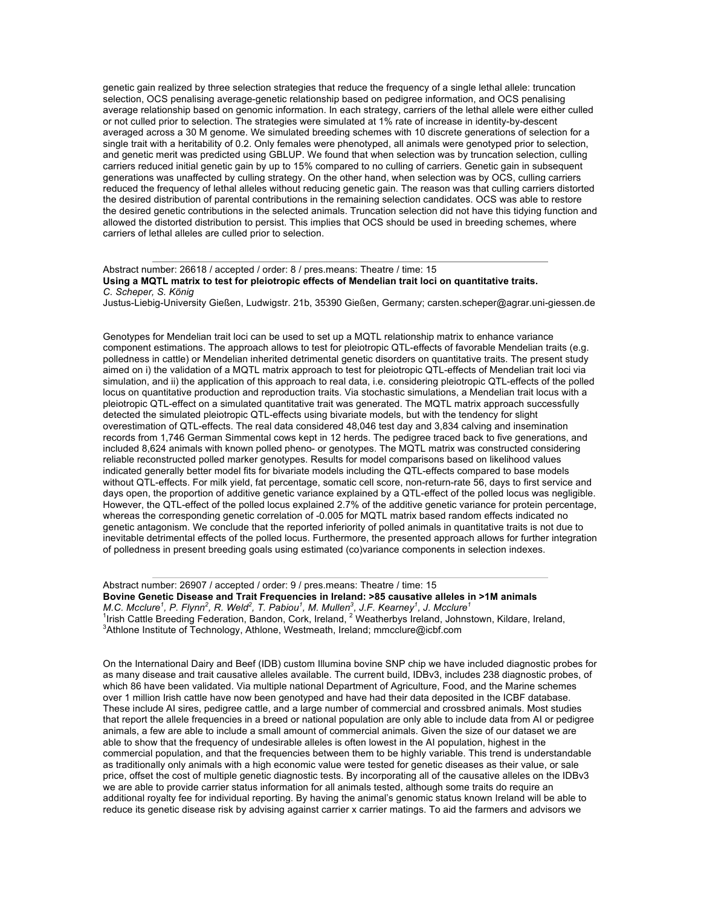genetic gain realized by three selection strategies that reduce the frequency of a single lethal allele: truncation selection, OCS penalising average-genetic relationship based on pedigree information, and OCS penalising average relationship based on genomic information. In each strategy, carriers of the lethal allele were either culled or not culled prior to selection. The strategies were simulated at 1% rate of increase in identity-by-descent averaged across a 30 M genome. We simulated breeding schemes with 10 discrete generations of selection for a single trait with a heritability of 0.2. Only females were phenotyped, all animals were genotyped prior to selection, and genetic merit was predicted using GBLUP. We found that when selection was by truncation selection, culling carriers reduced initial genetic gain by up to 15% compared to no culling of carriers. Genetic gain in subsequent generations was unaffected by culling strategy. On the other hand, when selection was by OCS, culling carriers reduced the frequency of lethal alleles without reducing genetic gain. The reason was that culling carriers distorted the desired distribution of parental contributions in the remaining selection candidates. OCS was able to restore the desired genetic contributions in the selected animals. Truncation selection did not have this tidying function and allowed the distorted distribution to persist. This implies that OCS should be used in breeding schemes, where carriers of lethal alleles are culled prior to selection.

## Abstract number: 26618 / accepted / order: 8 / pres.means: Theatre / time: 15 **Using a MQTL matrix to test for pleiotropic effects of Mendelian trait loci on quantitative traits.**  *C. Scheper, S. König*

Justus-Liebig-University Gießen, Ludwigstr. 21b, 35390 Gießen, Germany; carsten.scheper@agrar.uni-giessen.de

Genotypes for Mendelian trait loci can be used to set up a MQTL relationship matrix to enhance variance component estimations. The approach allows to test for pleiotropic QTL-effects of favorable Mendelian traits (e.g. polledness in cattle) or Mendelian inherited detrimental genetic disorders on quantitative traits. The present study aimed on i) the validation of a MQTL matrix approach to test for pleiotropic QTL-effects of Mendelian trait loci via simulation, and ii) the application of this approach to real data, i.e. considering pleiotropic QTL-effects of the polled locus on quantitative production and reproduction traits. Via stochastic simulations, a Mendelian trait locus with a pleiotropic QTL-effect on a simulated quantitative trait was generated. The MQTL matrix approach successfully detected the simulated pleiotropic QTL-effects using bivariate models, but with the tendency for slight overestimation of QTL-effects. The real data considered 48,046 test day and 3,834 calving and insemination records from 1,746 German Simmental cows kept in 12 herds. The pedigree traced back to five generations, and included 8,624 animals with known polled pheno- or genotypes. The MQTL matrix was constructed considering reliable reconstructed polled marker genotypes. Results for model comparisons based on likelihood values indicated generally better model fits for bivariate models including the QTL-effects compared to base models without QTL-effects. For milk yield, fat percentage, somatic cell score, non-return-rate 56, days to first service and days open, the proportion of additive genetic variance explained by a QTL-effect of the polled locus was negligible. However, the QTL-effect of the polled locus explained 2.7% of the additive genetic variance for protein percentage, whereas the corresponding genetic correlation of -0.005 for MQTL matrix based random effects indicated no genetic antagonism. We conclude that the reported inferiority of polled animals in quantitative traits is not due to inevitable detrimental effects of the polled locus. Furthermore, the presented approach allows for further integration of polledness in present breeding goals using estimated (co)variance components in selection indexes.

Abstract number: 26907 / accepted / order: 9 / pres.means: Theatre / time: 15 **Bovine Genetic Disease and Trait Frequencies in Ireland: >85 causative alleles in >1M animals** *M.C. Mcclure<sup>1</sup> , P. Flynn<sup>2</sup> , R. Weld<sup>2</sup> , T. Pabiou<sup>1</sup> , M. Mullen<sup>3</sup> , J.F. Kearney<sup>1</sup> , J. Mcclure<sup>1</sup>* <sup>1</sup>Irish Cattle Breeding Federation, Bandon, Cork, Ireland, <sup>2</sup> Weatherbys Ireland, Johnstown, Kildare, Ireland, 3<br>3 Athlone Institute of Technology, Athlone, Westmeeth, Ireland; muscluse@ichf.com <sup>3</sup>Athlone Institute of Technology, Athlone, Westmeath, Ireland; mmcclure@icbf.com

On the International Dairy and Beef (IDB) custom Illumina bovine SNP chip we have included diagnostic probes for as many disease and trait causative alleles available. The current build, IDBv3, includes 238 diagnostic probes, of which 86 have been validated. Via multiple national Department of Agriculture, Food, and the Marine schemes over 1 million Irish cattle have now been genotyped and have had their data deposited in the ICBF database. These include AI sires, pedigree cattle, and a large number of commercial and crossbred animals. Most studies that report the allele frequencies in a breed or national population are only able to include data from AI or pedigree animals, a few are able to include a small amount of commercial animals. Given the size of our dataset we are able to show that the frequency of undesirable alleles is often lowest in the AI population, highest in the commercial population, and that the frequencies between them to be highly variable. This trend is understandable as traditionally only animals with a high economic value were tested for genetic diseases as their value, or sale price, offset the cost of multiple genetic diagnostic tests. By incorporating all of the causative alleles on the IDBv3 we are able to provide carrier status information for all animals tested, although some traits do require an additional royalty fee for individual reporting. By having the animal's genomic status known Ireland will be able to reduce its genetic disease risk by advising against carrier x carrier matings. To aid the farmers and advisors we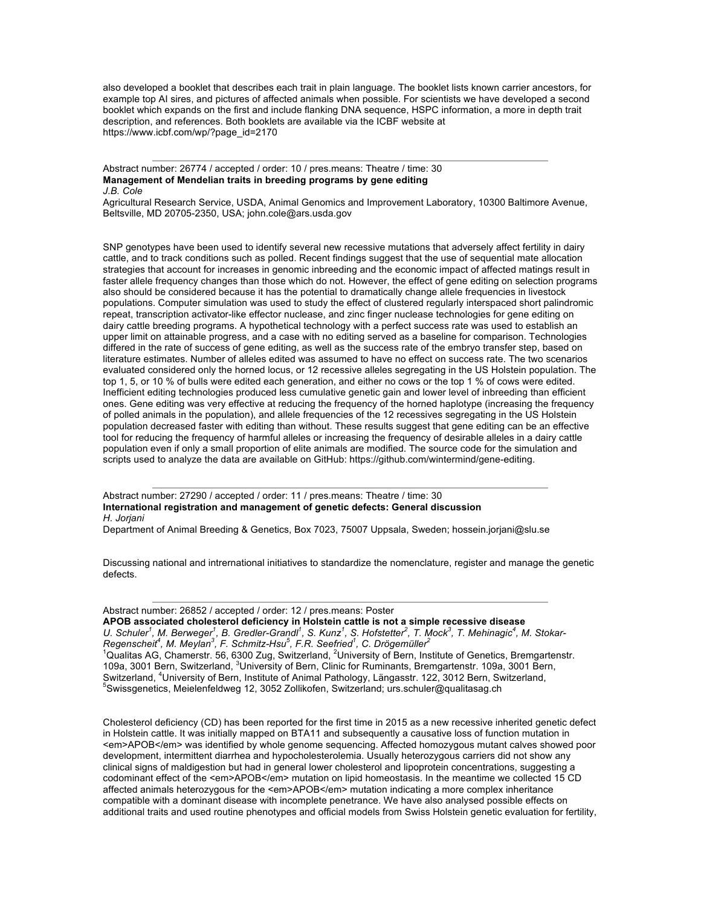also developed a booklet that describes each trait in plain language. The booklet lists known carrier ancestors, for example top AI sires, and pictures of affected animals when possible. For scientists we have developed a second booklet which expands on the first and include flanking DNA sequence, HSPC information, a more in depth trait description, and references. Both booklets are available via the ICBF website at https://www.icbf.com/wp/?page\_id=2170

Abstract number: 26774 / accepted / order: 10 / pres.means: Theatre / time: 30 **Management of Mendelian traits in breeding programs by gene editing** *J.B. Cole*

Agricultural Research Service, USDA, Animal Genomics and Improvement Laboratory, 10300 Baltimore Avenue, Beltsville, MD 20705-2350, USA; john.cole@ars.usda.gov

SNP genotypes have been used to identify several new recessive mutations that adversely affect fertility in dairy cattle, and to track conditions such as polled. Recent findings suggest that the use of sequential mate allocation strategies that account for increases in genomic inbreeding and the economic impact of affected matings result in faster allele frequency changes than those which do not. However, the effect of gene editing on selection programs also should be considered because it has the potential to dramatically change allele frequencies in livestock populations. Computer simulation was used to study the effect of clustered regularly interspaced short palindromic repeat, transcription activator-like effector nuclease, and zinc finger nuclease technologies for gene editing on dairy cattle breeding programs. A hypothetical technology with a perfect success rate was used to establish an upper limit on attainable progress, and a case with no editing served as a baseline for comparison. Technologies differed in the rate of success of gene editing, as well as the success rate of the embryo transfer step, based on literature estimates. Number of alleles edited was assumed to have no effect on success rate. The two scenarios evaluated considered only the horned locus, or 12 recessive alleles segregating in the US Holstein population. The top 1, 5, or 10 % of bulls were edited each generation, and either no cows or the top 1 % of cows were edited. Inefficient editing technologies produced less cumulative genetic gain and lower level of inbreeding than efficient ones. Gene editing was very effective at reducing the frequency of the horned haplotype (increasing the frequency of polled animals in the population), and allele frequencies of the 12 recessives segregating in the US Holstein population decreased faster with editing than without. These results suggest that gene editing can be an effective tool for reducing the frequency of harmful alleles or increasing the frequency of desirable alleles in a dairy cattle population even if only a small proportion of elite animals are modified. The source code for the simulation and scripts used to analyze the data are available on GitHub: https://github.com/wintermind/gene-editing.

Abstract number: 27290 / accepted / order: 11 / pres.means: Theatre / time: 30 **International registration and management of genetic defects: General discussion** *H. Jorjani*

Department of Animal Breeding & Genetics, Box 7023, 75007 Uppsala, Sweden; hossein.jorjani@slu.se

Discussing national and intrernational initiatives to standardize the nomenclature, register and manage the genetic defects.

Abstract number: 26852 / accepted / order: 12 / pres.means: Poster **APOB associated cholesterol deficiency in Holstein cattle is not a simple recessive disease** U. Schuler<sup>1</sup>, M. Berweger<sup>1</sup>, B. Gredler-Grandl<sup>1</sup>, S. Kunz<sup>1</sup>, S. Hofstetter<sup>2</sup>, T. Mock<sup>3</sup>, T. Mehinagic<sup>4</sup>, M. Stokar-*Regenscheit<sup>4</sup> , M. Meylan<sup>3</sup> , F. Schmitz-Hsu<sup>5</sup> , F.R. Seefried<sup>1</sup> , C. Drögemüller<sup>2</sup>* <sup>1</sup>Qualitas AG, Chamerstr. 56, 6300 Zug, Switzerland, <sup>2</sup>University of Bern, Institute of Genetics, Bremgartenstr. 109a, 3001 Bern, Switzerland, <sup>3</sup>University of Bern, Clinic for Ruminants, Bremgartenstr. 109a, 3001 Bern, Switzerland, <sup>4</sup>University of Bern, Institute of Animal Pathology, Längasstr. 122, 3012 Bern, Switzerland, 500 millioners and 500 millioners and 500 millioners and 500 millioners and 500 millioners and 500 millioners and 5 Swissgenetics, Meielenfeldweg 12, 3052 Zollikofen, Switzerland; urs.schuler@qualitasag.ch

Cholesterol deficiency (CD) has been reported for the first time in 2015 as a new recessive inherited genetic defect in Holstein cattle. It was initially mapped on BTA11 and subsequently a causative loss of function mutation in <em>APOB</em> was identified by whole genome sequencing. Affected homozygous mutant calves showed poor development, intermittent diarrhea and hypocholesterolemia. Usually heterozygous carriers did not show any clinical signs of maldigestion but had in general lower cholesterol and lipoprotein concentrations, suggesting a codominant effect of the <em>APOB</em> mutation on lipid homeostasis. In the meantime we collected 15 CD affected animals heterozygous for the <em>APOB</em> mutation indicating a more complex inheritance compatible with a dominant disease with incomplete penetrance. We have also analysed possible effects on additional traits and used routine phenotypes and official models from Swiss Holstein genetic evaluation for fertility,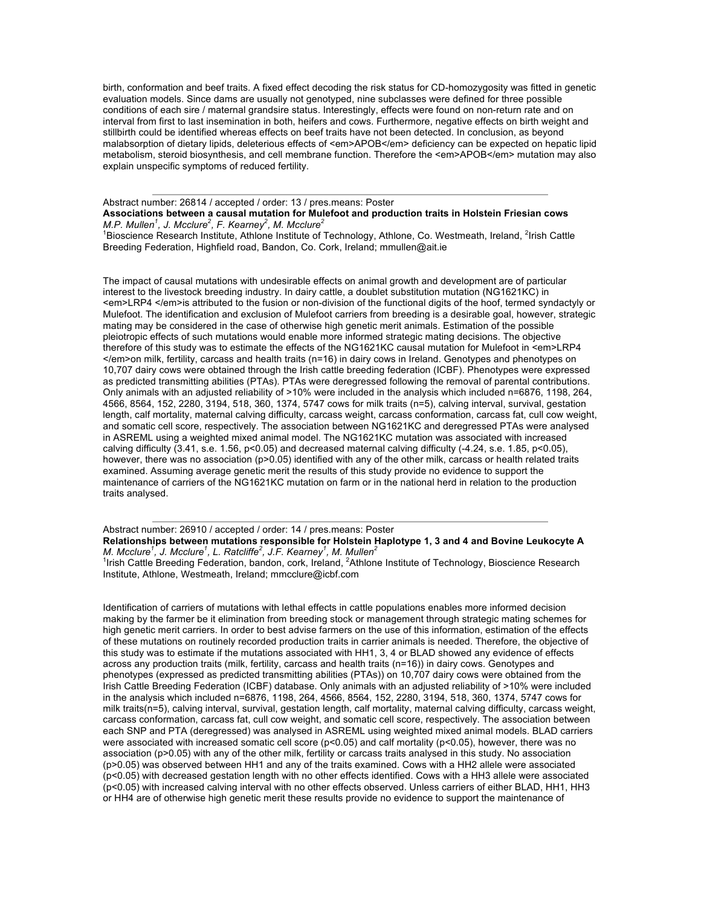birth, conformation and beef traits. A fixed effect decoding the risk status for CD-homozygosity was fitted in genetic evaluation models. Since dams are usually not genotyped, nine subclasses were defined for three possible conditions of each sire / maternal grandsire status. Interestingly, effects were found on non-return rate and on interval from first to last insemination in both, heifers and cows. Furthermore, negative effects on birth weight and stillbirth could be identified whereas effects on beef traits have not been detected. In conclusion, as beyond malabsorption of dietary lipids, deleterious effects of <em>APOB</em> deficiency can be expected on hepatic lipid metabolism, steroid biosynthesis, and cell membrane function. Therefore the <em>APOB</em> mutation may also explain unspecific symptoms of reduced fertility.

## Abstract number: 26814 / accepted / order: 13 / pres.means: Poster **Associations between a causal mutation for Mulefoot and production traits in Holstein Friesian cows** *M.P. Mullen<sup>1</sup> , J. Mcclure<sup>2</sup> , F. Kearney<sup>2</sup> , M. Mcclure<sup>2</sup>*

<sup>1</sup>Bioscience Research Institute, Athlone Institute of Technology, Athlone, Co. Westmeath, Ireland, <sup>2</sup>Irish Cattle Breeding Federation, Highfield road, Bandon, Co. Cork, Ireland; mmullen@ait.ie

The impact of causal mutations with undesirable effects on animal growth and development are of particular interest to the livestock breeding industry. In dairy cattle, a doublet substitution mutation (NG1621KC) in <em>LRP4 </em>is attributed to the fusion or non-division of the functional digits of the hoof, termed syndactyly or Mulefoot. The identification and exclusion of Mulefoot carriers from breeding is a desirable goal, however, strategic mating may be considered in the case of otherwise high genetic merit animals. Estimation of the possible pleiotropic effects of such mutations would enable more informed strategic mating decisions. The objective therefore of this study was to estimate the effects of the NG1621KC causal mutation for Mulefoot in <em>LRP4 </em>on milk, fertility, carcass and health traits (n=16) in dairy cows in Ireland. Genotypes and phenotypes on 10,707 dairy cows were obtained through the Irish cattle breeding federation (ICBF). Phenotypes were expressed as predicted transmitting abilities (PTAs). PTAs were deregressed following the removal of parental contributions. Only animals with an adjusted reliability of >10% were included in the analysis which included n=6876, 1198, 264, 4566, 8564, 152, 2280, 3194, 518, 360, 1374, 5747 cows for milk traits (n=5), calving interval, survival, gestation length, calf mortality, maternal calving difficulty, carcass weight, carcass conformation, carcass fat, cull cow weight, and somatic cell score, respectively. The association between NG1621KC and deregressed PTAs were analysed in ASREML using a weighted mixed animal model. The NG1621KC mutation was associated with increased calving difficulty (3.41, s.e. 1.56, p<0.05) and decreased maternal calving difficulty (-4.24, s.e. 1.85, p<0.05), however, there was no association (p>0.05) identified with any of the other milk, carcass or health related traits examined. Assuming average genetic merit the results of this study provide no evidence to support the maintenance of carriers of the NG1621KC mutation on farm or in the national herd in relation to the production traits analysed.

Abstract number: 26910 / accepted / order: 14 / pres.means: Poster **Relationships between mutations responsible for Holstein Haplotype 1, 3 and 4 and Bovine Leukocyte A** *M. Mcclure<sup>1</sup> , J. Mcclure<sup>1</sup> , L. Ratcliffe<sup>2</sup> , J.F. Kearney<sup>1</sup> , M. Mullen<sup>2</sup>* <sup>1</sup>Irish Cattle Breeding Federation, bandon, cork, Ireland, <sup>2</sup>Athlone Institute of Technology, Bioscience Research

Institute, Athlone, Westmeath, Ireland; mmcclure@icbf.com

Identification of carriers of mutations with lethal effects in cattle populations enables more informed decision making by the farmer be it elimination from breeding stock or management through strategic mating schemes for high genetic merit carriers. In order to best advise farmers on the use of this information, estimation of the effects of these mutations on routinely recorded production traits in carrier animals is needed. Therefore, the objective of this study was to estimate if the mutations associated with HH1, 3, 4 or BLAD showed any evidence of effects across any production traits (milk, fertility, carcass and health traits (n=16)) in dairy cows. Genotypes and phenotypes (expressed as predicted transmitting abilities (PTAs)) on 10,707 dairy cows were obtained from the Irish Cattle Breeding Federation (ICBF) database. Only animals with an adjusted reliability of >10% were included in the analysis which included n=6876, 1198, 264, 4566, 8564, 152, 2280, 3194, 518, 360, 1374, 5747 cows for milk traits(n=5), calving interval, survival, gestation length, calf mortality, maternal calving difficulty, carcass weight, carcass conformation, carcass fat, cull cow weight, and somatic cell score, respectively. The association between each SNP and PTA (deregressed) was analysed in ASREML using weighted mixed animal models. BLAD carriers were associated with increased somatic cell score (p<0.05) and calf mortality (p<0.05), however, there was no association (p>0.05) with any of the other milk, fertility or carcass traits analysed in this study. No association (p>0.05) was observed between HH1 and any of the traits examined. Cows with a HH2 allele were associated (p<0.05) with decreased gestation length with no other effects identified. Cows with a HH3 allele were associated (p<0.05) with increased calving interval with no other effects observed. Unless carriers of either BLAD, HH1, HH3 or HH4 are of otherwise high genetic merit these results provide no evidence to support the maintenance of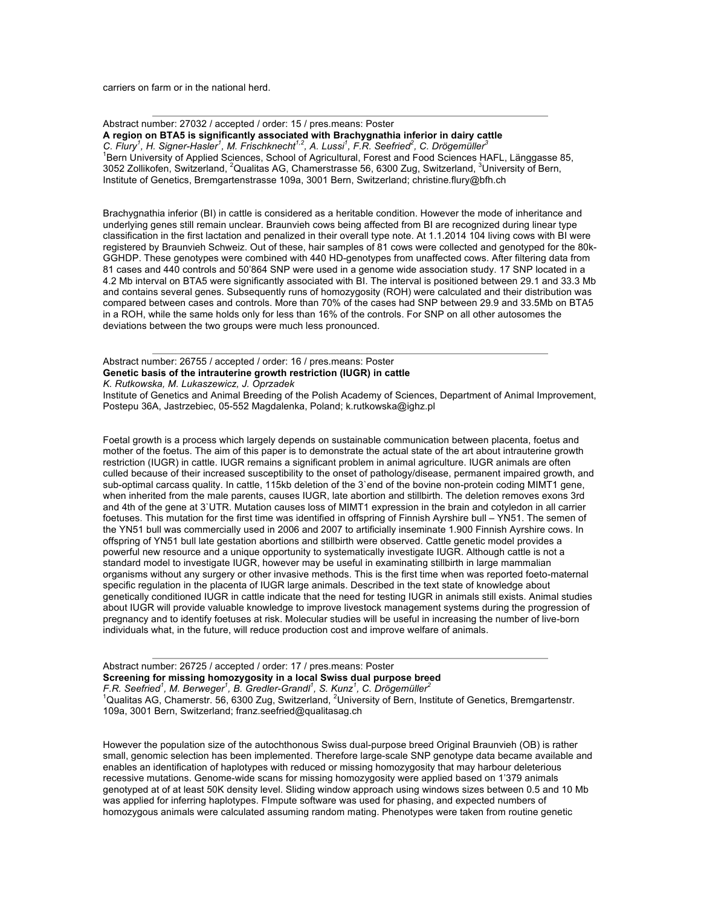carriers on farm or in the national herd.

Abstract number: 27032 / accepted / order: 15 / pres.means: Poster **A region on BTA5 is significantly associated with Brachygnathia inferior in dairy cattle** *C. Flury<sup>1</sup> , H. Signer-Hasler<sup>1</sup> , M. Frischknecht1,2, A. Lussi1 , F.R. Seefried<sup>2</sup> , C. Drögemüller<sup>3</sup>* <sup>1</sup>Bern University of Applied Sciences, School of Agricultural, Forest and Food Sciences HAFL, Länggasse 85, 3052 Zollikofen, Switzerland, <sup>2</sup>Qualitas AG, Chamerstrasse 56, 6300 Zug, Switzerland, <sup>3</sup>University of Bern, Institute of Genetics, Bremgartenstrasse 109a, 3001 Bern, Switzerland; christine.flury@bfh.ch

Brachygnathia inferior (BI) in cattle is considered as a heritable condition. However the mode of inheritance and underlying genes still remain unclear. Braunvieh cows being affected from BI are recognized during linear type classification in the first lactation and penalized in their overall type note. At 1.1.2014 104 living cows with BI were registered by Braunvieh Schweiz. Out of these, hair samples of 81 cows were collected and genotyped for the 80k-GGHDP. These genotypes were combined with 440 HD-genotypes from unaffected cows. After filtering data from 81 cases and 440 controls and 50'864 SNP were used in a genome wide association study. 17 SNP located in a 4.2 Mb interval on BTA5 were significantly associated with BI. The interval is positioned between 29.1 and 33.3 Mb and contains several genes. Subsequently runs of homozygosity (ROH) were calculated and their distribution was compared between cases and controls. More than 70% of the cases had SNP between 29.9 and 33.5Mb on BTA5 in a ROH, while the same holds only for less than 16% of the controls. For SNP on all other autosomes the deviations between the two groups were much less pronounced.

## Abstract number: 26755 / accepted / order: 16 / pres.means: Poster **Genetic basis of the intrauterine growth restriction (IUGR) in cattle** *K. Rutkowska, M. Lukaszewicz, J. Oprzadek*

Institute of Genetics and Animal Breeding of the Polish Academy of Sciences, Department of Animal Improvement, Postepu 36A, Jastrzebiec, 05-552 Magdalenka, Poland; k.rutkowska@ighz.pl

Foetal growth is a process which largely depends on sustainable communication between placenta, foetus and mother of the foetus. The aim of this paper is to demonstrate the actual state of the art about intrauterine growth restriction (IUGR) in cattle. IUGR remains a significant problem in animal agriculture. IUGR animals are often culled because of their increased susceptibility to the onset of pathology/disease, permanent impaired growth, and sub-optimal carcass quality. In cattle, 115kb deletion of the 3`end of the bovine non-protein coding MIMT1 gene, when inherited from the male parents, causes IUGR, late abortion and stillbirth. The deletion removes exons 3rd and 4th of the gene at 3`UTR. Mutation causes loss of MIMT1 expression in the brain and cotyledon in all carrier foetuses. This mutation for the first time was identified in offspring of Finnish Ayrshire bull – YN51. The semen of the YN51 bull was commercially used in 2006 and 2007 to artificially inseminate 1.900 Finnish Ayrshire cows. In offspring of YN51 bull late gestation abortions and stillbirth were observed. Cattle genetic model provides a powerful new resource and a unique opportunity to systematically investigate IUGR. Although cattle is not a standard model to investigate IUGR, however may be useful in examinating stillbirth in large mammalian organisms without any surgery or other invasive methods. This is the first time when was reported foeto-maternal specific regulation in the placenta of IUGR large animals. Described in the text state of knowledge about genetically conditioned IUGR in cattle indicate that the need for testing IUGR in animals still exists. Animal studies about IUGR will provide valuable knowledge to improve livestock management systems during the progression of pregnancy and to identify foetuses at risk. Molecular studies will be useful in increasing the number of live-born individuals what, in the future, will reduce production cost and improve welfare of animals.

Abstract number: 26725 / accepted / order: 17 / pres.means: Poster **Screening for missing homozygosity in a local Swiss dual purpose breed** *F.R. Seefried<sup>1</sup> , M. Berweger<sup>1</sup> , B. Gredler-Grandl<sup>1</sup> , S. Kunz<sup>1</sup> , C. Drögemüller<sup>2</sup>* <sup>1</sup>Qualitas AG, Chamerstr. 56, 6300 Zug, Switzerland, <sup>2</sup>University of Bern, Institute of Genetics, Bremgartenstr. 109a, 3001 Bern, Switzerland; franz.seefried@qualitasag.ch

However the population size of the autochthonous Swiss dual-purpose breed Original Braunvieh (OB) is rather small, genomic selection has been implemented. Therefore large-scale SNP genotype data became available and enables an identification of haplotypes with reduced or missing homozygosity that may harbour deleterious recessive mutations. Genome-wide scans for missing homozygosity were applied based on 1'379 animals genotyped at of at least 50K density level. Sliding window approach using windows sizes between 0.5 and 10 Mb was applied for inferring haplotypes. FImpute software was used for phasing, and expected numbers of homozygous animals were calculated assuming random mating. Phenotypes were taken from routine genetic